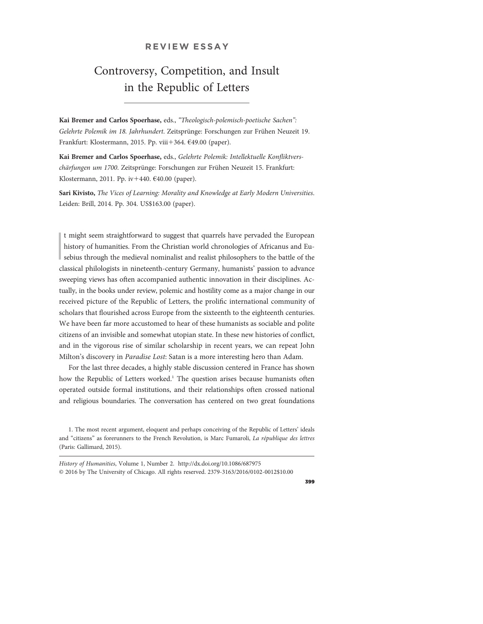# REVIEW ESSAY

# Controversy, Competition, and Insult in the Republic of Letters

Kai Bremer and Carlos Spoerhase, eds., "Theologisch-polemisch-poetische Sachen": Gelehrte Polemik im 18. Jahrhundert. Zeitsprünge: Forschungen zur Frühen Neuzeit 19. Frankfurt: Klostermann, 2015. Pp. viii+364. €49.00 (paper).

Kai Bremer and Carlos Spoerhase, eds., Gelehrte Polemik: Intellektuelle Konfliktverschärfungen um 1700. Zeitsprünge: Forschungen zur Frühen Neuzeit 15. Frankfurt: Klostermann, 2011. Pp. iv $+440.$   $640.00$  (paper).

Sari Kivisto, The Vices of Learning: Morality and Knowledge at Early Modern Universities. Leiden: Brill, 2014. Pp. 304. US\$163.00 (paper).

 $\begin{bmatrix} 1 \\ 1 \\ 1 \end{bmatrix}$ t might seem straightforward to suggest that quarrels have pervaded the European history of humanities. From the Christian world chronologies of Africanus and Eusebius through the medieval nominalist and realist philosophers to the battle of the classical philologists in nineteenth-century Germany, humanists' passion to advance sweeping views has often accompanied authentic innovation in their disciplines. Actually, in the books under review, polemic and hostility come as a major change in our received picture of the Republic of Letters, the prolific international community of scholars that flourished across Europe from the sixteenth to the eighteenth centuries. We have been far more accustomed to hear of these humanists as sociable and polite citizens of an invisible and somewhat utopian state. In these new histories of conflict, and in the vigorous rise of similar scholarship in recent years, we can repeat John Milton's discovery in Paradise Lost: Satan is a more interesting hero than Adam.

For the last three decades, a highly stable discussion centered in France has shown how the Republic of Letters worked.<sup>1</sup> The question arises because humanists often operated outside formal institutions, and their relationships often crossed national and religious boundaries. The conversation has centered on two great foundations

1. The most recent argument, eloquent and perhaps conceiving of the Republic of Letters' ideals and "citizens" as forerunners to the French Revolution, is Marc Fumaroli, La république des lettres (Paris: Gallimard, 2015).

History of Humanities, Volume 1, Number 2. http://dx.doi.org/10.1086/687975 © 2016 by The University of Chicago. All rights reserved. 2379-3163/2016/0102-0012\$10.00

399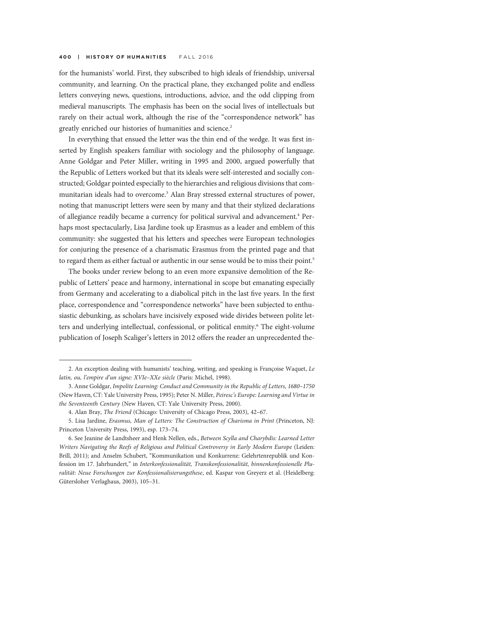for the humanists' world. First, they subscribed to high ideals of friendship, universal community, and learning. On the practical plane, they exchanged polite and endless letters conveying news, questions, introductions, advice, and the odd clipping from medieval manuscripts. The emphasis has been on the social lives of intellectuals but rarely on their actual work, although the rise of the "correspondence network" has greatly enriched our histories of humanities and science.<sup>2</sup>

In everything that ensued the letter was the thin end of the wedge. It was first inserted by English speakers familiar with sociology and the philosophy of language. Anne Goldgar and Peter Miller, writing in 1995 and 2000, argued powerfully that the Republic of Letters worked but that its ideals were self-interested and socially constructed; Goldgar pointed especially to the hierarchies and religious divisions that communitarian ideals had to overcome.3 Alan Bray stressed external structures of power, noting that manuscript letters were seen by many and that their stylized declarations of allegiance readily became a currency for political survival and advancement.<sup>4</sup> Perhaps most spectacularly, Lisa Jardine took up Erasmus as a leader and emblem of this community: she suggested that his letters and speeches were European technologies for conjuring the presence of a charismatic Erasmus from the printed page and that to regard them as either factual or authentic in our sense would be to miss their point.<sup>5</sup>

The books under review belong to an even more expansive demolition of the Republic of Letters' peace and harmony, international in scope but emanating especially from Germany and accelerating to a diabolical pitch in the last five years. In the first place, correspondence and "correspondence networks" have been subjected to enthusiastic debunking, as scholars have incisively exposed wide divides between polite letters and underlying intellectual, confessional, or political enmity.<sup>6</sup> The eight-volume publication of Joseph Scaliger's letters in 2012 offers the reader an unprecedented the-

<sup>2.</sup> An exception dealing with humanists' teaching, writing, and speaking is Françoise Waquet, Le latin, ou, l'empire d'un signe: XVIe–XXe siècle (Paris: Michel, 1998).

<sup>3.</sup> Anne Goldgar, Impolite Learning: Conduct and Community in the Republic of Letters, 1680–1750 (New Haven, CT: Yale University Press, 1995); Peter N. Miller, Peiresc's Europe: Learning and Virtue in the Seventeenth Century (New Haven, CT: Yale University Press, 2000).

<sup>4.</sup> Alan Bray, The Friend (Chicago: University of Chicago Press, 2003), 42–67.

<sup>5.</sup> Lisa Jardine, Erasmus, Man of Letters: The Construction of Charisma in Print (Princeton, NJ: Princeton University Press, 1993), esp. 173–74.

<sup>6.</sup> See Jeanine de Landtsheer and Henk Nellen, eds., Between Scylla and Charybdis: Learned Letter Writers Navigating the Reefs of Religious and Political Controversy in Early Modern Europe (Leiden: Brill, 2011); and Anselm Schubert, "Kommunikation und Konkurrenz: Gelehrtenrepublik und Konfession im 17. Jahrhundert," in Interkonfessionalität, Transkonfessionalität, binnenkonfessionelle Pluralität: Neue Forschungen zur Konfessionalisierungsthese, ed. Kaspar von Greyerz et al. (Heidelberg: Gütersloher Verlaghaus, 2003), 105–31.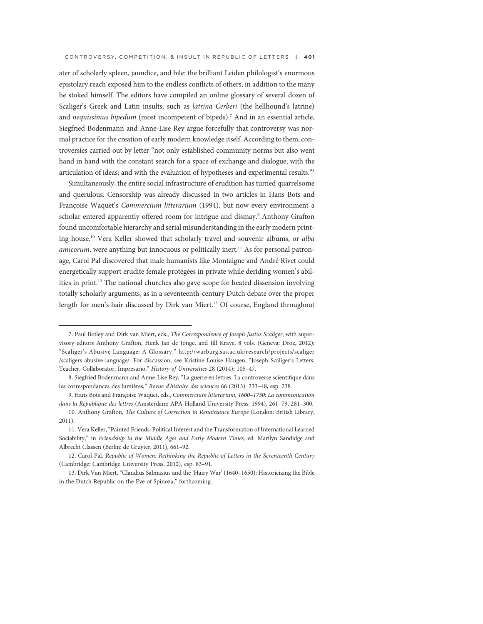ater of scholarly spleen, jaundice, and bile: the brilliant Leiden philologist's enormous epistolary reach exposed him to the endless conflicts of others, in addition to the many he stoked himself. The editors have compiled an online glossary of several dozen of Scaliger's Greek and Latin insults, such as latrina Cerberi (the hellhound's latrine) and nequissimus bipedum (most incompetent of bipeds).<sup>7</sup> And in an essential article, Siegfried Bodenmann and Anne-Lise Rey argue forcefully that controversy was normal practice for the creation of early modern knowledge itself. According to them, controversies carried out by letter "not only established community norms but also went hand in hand with the constant search for a space of exchange and dialogue; with the articulation of ideas; and with the evaluation of hypotheses and experimental results."<sup>8</sup>

Simultaneously, the entire social infrastructure of erudition has turned quarrelsome and querulous. Censorship was already discussed in two articles in Hans Bots and Françoise Waquet's Commercium litterarium (1994), but now every environment a scholar entered apparently offered room for intrigue and dismay.<sup>9</sup> Anthony Grafton found uncomfortable hierarchy and serial misunderstanding in the early modern printing house.10 Vera Keller showed that scholarly travel and souvenir albums, or alba *amicorum*, were anything but innocuous or politically inert.<sup>11</sup> As for personal patronage, Carol Pal discovered that male humanists like Montaigne and André Rivet could energetically support erudite female protégées in private while deriding women's abilities in print.12 The national churches also gave scope for heated dissension involving totally scholarly arguments, as in a seventeenth-century Dutch debate over the proper length for men's hair discussed by Dirk van Miert.13 Of course, England throughout

<sup>7.</sup> Paul Botley and Dirk van Miert, eds., The Correspondence of Joseph Justus Scaliger, with supervisory editors Anthony Grafton, Henk Jan de Jonge, and Jill Kraye, 8 vols. (Geneva: Droz, 2012); "Scaliger's Abusive Language: A Glossary," http://warburg.sas.ac.uk/research/projects/scaliger /scaligers-abusive-language/. For discussion, see Kristine Louise Haugen, "Joseph Scaliger's Letters: Teacher, Collaborator, Impresario," History of Universities 28 (2014): 105–47.

<sup>8.</sup> Siegfried Bodenmann and Anne-Lise Rey, "La guerre en lettres: La controverse scientifique dans les correspondances des lumières," Revue d'histoire des sciences 66 (2013): 233–48, esp. 238.

<sup>9.</sup> Hans Bots and Françoise Waquet, eds., Commercium litterarium, 1600–1750: La communication dans la République des lettres (Amsterdam: APA-Holland University Press, 1994), 261–79, 281–300.

<sup>10.</sup> Anthony Grafton, The Culture of Correction in Renaissance Europe (London: British Library, 2011).

<sup>11.</sup> Vera Keller, "Painted Friends: Political Interest and the Transformation of International Learned Sociability," in Friendship in the Middle Ages and Early Modern Times, ed. Marilyn Sandidge and Albrecht Classen (Berlin: de Gruyter, 2011), 661–92.

<sup>12.</sup> Carol Pal, Republic of Women: Rethinking the Republic of Letters in the Seventeenth Century (Cambridge: Cambridge University Press, 2012), esp. 83–91.

<sup>13.</sup> Dirk Van Miert, "Claudius Salmasius and the 'Hairy War' (1640–1650): Historicizing the Bible in the Dutch Republic on the Eve of Spinoza," forthcoming.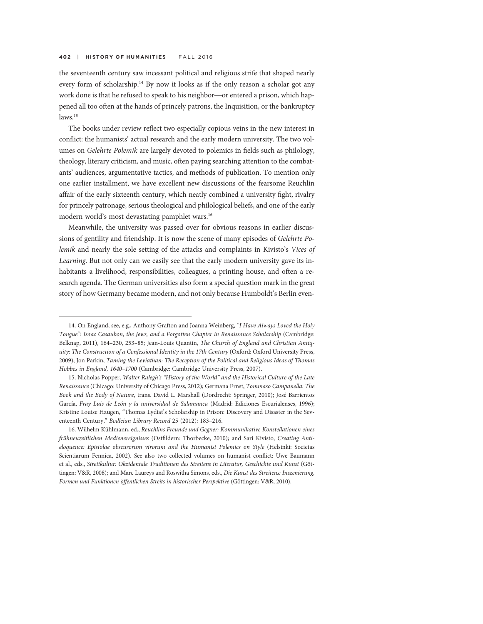the seventeenth century saw incessant political and religious strife that shaped nearly every form of scholarship.<sup>14</sup> By now it looks as if the only reason a scholar got any work done is that he refused to speak to his neighbor—or entered a prison, which happened all too often at the hands of princely patrons, the Inquisition, or the bankruptcy laws.<sup>15</sup>

The books under review reflect two especially copious veins in the new interest in conflict: the humanists' actual research and the early modern university. The two volumes on Gelehrte Polemik are largely devoted to polemics in fields such as philology, theology, literary criticism, and music, often paying searching attention to the combatants' audiences, argumentative tactics, and methods of publication. To mention only one earlier installment, we have excellent new discussions of the fearsome Reuchlin affair of the early sixteenth century, which neatly combined a university fight, rivalry for princely patronage, serious theological and philological beliefs, and one of the early modern world's most devastating pamphlet wars.16

Meanwhile, the university was passed over for obvious reasons in earlier discussions of gentility and friendship. It is now the scene of many episodes of Gelehrte Polemik and nearly the sole setting of the attacks and complaints in Kivisto's Vices of Learning. But not only can we easily see that the early modern university gave its inhabitants a livelihood, responsibilities, colleagues, a printing house, and often a research agenda. The German universities also form a special question mark in the great story of how Germany became modern, and not only because Humboldt's Berlin even-

<sup>14.</sup> On England, see, e.g., Anthony Grafton and Joanna Weinberg, "I Have Always Loved the Holy Tongue": Isaac Casaubon, the Jews, and a Forgotten Chapter in Renaissance Scholarship (Cambridge: Belknap, 2011), 164–230, 253–85; Jean-Louis Quantin, The Church of England and Christian Antiquity: The Construction of a Confessional Identity in the 17th Century (Oxford: Oxford University Press, 2009); Jon Parkin, Taming the Leviathan: The Reception of the Political and Religious Ideas of Thomas Hobbes in England, 1640–1700 (Cambridge: Cambridge University Press, 2007).

<sup>15.</sup> Nicholas Popper, Walter Ralegh's "History of the World" and the Historical Culture of the Late Renaissance (Chicago: University of Chicago Press, 2012); Germana Ernst, Tommaso Campanella: The Book and the Body of Nature, trans. David L. Marshall (Dordrecht: Springer, 2010); José Barrientos García, Fray Luis de León y la universidad de Salamanca (Madrid: Ediciones Escurialenses, 1996); Kristine Louise Haugen, "Thomas Lydiat's Scholarship in Prison: Discovery and Disaster in the Seventeenth Century," Bodleian Library Record 25 (2012): 183–216.

<sup>16.</sup> Wilhelm Kühlmann, ed., Reuchlins Freunde und Gegner: Kommunikative Konstellationen eines frühneuzeitlichen Medienereignisses (Ostfildern: Thorbecke, 2010); and Sari Kivisto, Creating Antieloquence: Epistolae obscurorum virorum and the Humanist Polemics on Style (Helsinki: Societas Scientiarum Fennica, 2002). See also two collected volumes on humanist conflict: Uwe Baumann et al., eds., Streitkultur: Okzidentale Traditionen des Streitens in Literatur, Geschichte und Kunst (Göttingen: V&R, 2008); and Marc Laureys and Roswitha Simons, eds., Die Kunst des Streitens: Inszenierung, Formen und Funktionen öffentlichen Streits in historischer Perspektive (Göttingen: V&R, 2010).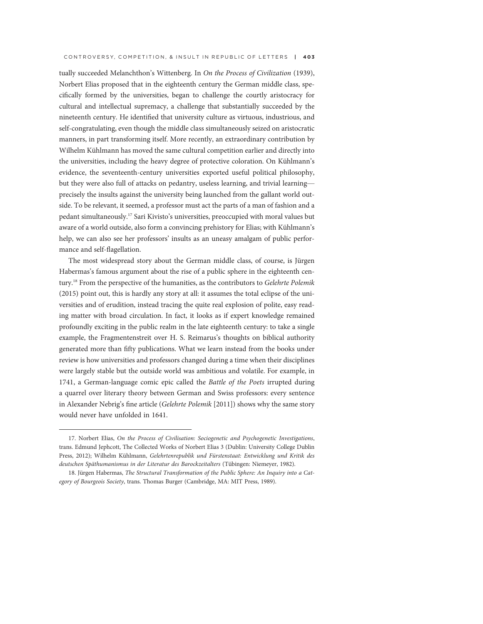tually succeeded Melanchthon's Wittenberg. In On the Process of Civilization (1939), Norbert Elias proposed that in the eighteenth century the German middle class, specifically formed by the universities, began to challenge the courtly aristocracy for cultural and intellectual supremacy, a challenge that substantially succeeded by the nineteenth century. He identified that university culture as virtuous, industrious, and self-congratulating, even though the middle class simultaneously seized on aristocratic manners, in part transforming itself. More recently, an extraordinary contribution by Wilhelm Kühlmann has moved the same cultural competition earlier and directly into the universities, including the heavy degree of protective coloration. On Kühlmann's evidence, the seventeenth-century universities exported useful political philosophy, but they were also full of attacks on pedantry, useless learning, and trivial learning precisely the insults against the university being launched from the gallant world outside. To be relevant, it seemed, a professor must act the parts of a man of fashion and a pedant simultaneously.17 Sari Kivisto's universities, preoccupied with moral values but aware of a world outside, also form a convincing prehistory for Elias; with Kühlmann's help, we can also see her professors' insults as an uneasy amalgam of public performance and self-flagellation.

The most widespread story about the German middle class, of course, is Jürgen Habermas's famous argument about the rise of a public sphere in the eighteenth century.18 From the perspective of the humanities, as the contributors to Gelehrte Polemik (2015) point out, this is hardly any story at all: it assumes the total eclipse of the universities and of erudition, instead tracing the quite real explosion of polite, easy reading matter with broad circulation. In fact, it looks as if expert knowledge remained profoundly exciting in the public realm in the late eighteenth century: to take a single example, the Fragmentenstreit over H. S. Reimarus's thoughts on biblical authority generated more than fifty publications. What we learn instead from the books under review is how universities and professors changed during a time when their disciplines were largely stable but the outside world was ambitious and volatile. For example, in 1741, a German-language comic epic called the Battle of the Poets irrupted during a quarrel over literary theory between German and Swiss professors: every sentence in Alexander Nebrig's fine article (Gelehrte Polemik [2011]) shows why the same story would never have unfolded in 1641.

<sup>17.</sup> Norbert Elias, On the Process of Civilisation: Sociogenetic and Psychogenetic Investigations, trans. Edmund Jephcott, The Collected Works of Norbert Elias 3 (Dublin: University College Dublin Press, 2012); Wilhelm Kühlmann, Gelehrtenrepublik und Fürstenstaat: Entwicklung und Kritik des deutschen Späthumanismus in der Literatur des Barockzeitalters (Tübingen: Niemeyer, 1982).

<sup>18.</sup> Jürgen Habermas, The Structural Transformation of the Public Sphere: An Inquiry into a Category of Bourgeois Society, trans. Thomas Burger (Cambridge, MA: MIT Press, 1989).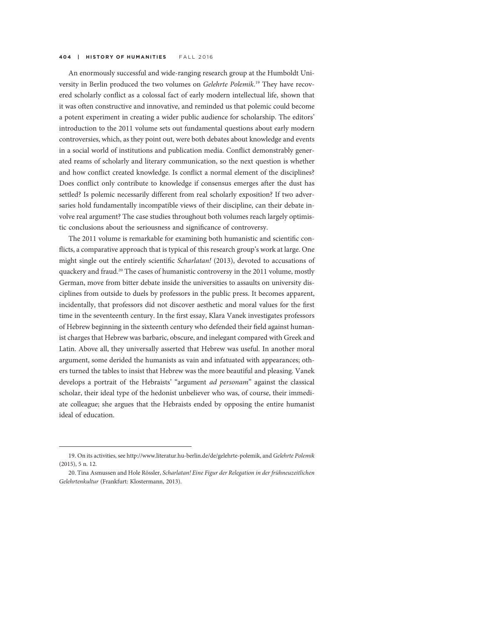An enormously successful and wide-ranging research group at the Humboldt University in Berlin produced the two volumes on Gelehrte Polemik.<sup>19</sup> They have recovered scholarly conflict as a colossal fact of early modern intellectual life, shown that it was often constructive and innovative, and reminded us that polemic could become a potent experiment in creating a wider public audience for scholarship. The editors' introduction to the 2011 volume sets out fundamental questions about early modern controversies, which, as they point out, were both debates about knowledge and events in a social world of institutions and publication media. Conflict demonstrably generated reams of scholarly and literary communication, so the next question is whether and how conflict created knowledge. Is conflict a normal element of the disciplines? Does conflict only contribute to knowledge if consensus emerges after the dust has settled? Is polemic necessarily different from real scholarly exposition? If two adversaries hold fundamentally incompatible views of their discipline, can their debate involve real argument? The case studies throughout both volumes reach largely optimistic conclusions about the seriousness and significance of controversy.

The 2011 volume is remarkable for examining both humanistic and scientific conflicts, a comparative approach that is typical of this research group's work at large. One might single out the entirely scientific *Scharlatan!* (2013), devoted to accusations of quackery and fraud.<sup>20</sup> The cases of humanistic controversy in the 2011 volume, mostly German, move from bitter debate inside the universities to assaults on university disciplines from outside to duels by professors in the public press. It becomes apparent, incidentally, that professors did not discover aesthetic and moral values for the first time in the seventeenth century. In the first essay, Klara Vanek investigates professors of Hebrew beginning in the sixteenth century who defended their field against humanist charges that Hebrew was barbaric, obscure, and inelegant compared with Greek and Latin. Above all, they universally asserted that Hebrew was useful. In another moral argument, some derided the humanists as vain and infatuated with appearances; others turned the tables to insist that Hebrew was the more beautiful and pleasing. Vanek develops a portrait of the Hebraists' "argument *ad personam*" against the classical scholar, their ideal type of the hedonist unbeliever who was, of course, their immediate colleague; she argues that the Hebraists ended by opposing the entire humanist ideal of education.

<sup>19.</sup> On its activities, see http://www.literatur.hu-berlin.de/de/gelehrte-polemik, and Gelehrte Polemik (2015), 5 n. 12.

<sup>20.</sup> Tina Asmussen and Hole Rössler, Scharlatan! Eine Figur der Relegation in der frühneuzeitlichen Gelehrtenkultur (Frankfurt: Klostermann, 2013).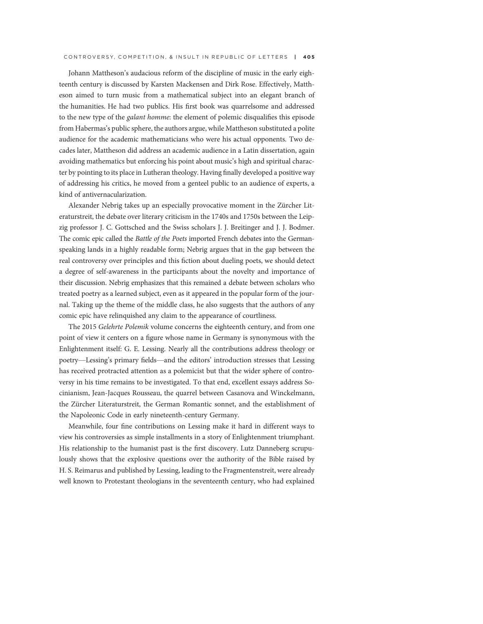Johann Mattheson's audacious reform of the discipline of music in the early eighteenth century is discussed by Karsten Mackensen and Dirk Rose. Effectively, Mattheson aimed to turn music from a mathematical subject into an elegant branch of the humanities. He had two publics. His first book was quarrelsome and addressed to the new type of the galant homme: the element of polemic disqualifies this episode from Habermas's public sphere, the authors argue, while Mattheson substituted a polite audience for the academic mathematicians who were his actual opponents. Two decades later, Mattheson did address an academic audience in a Latin dissertation, again avoiding mathematics but enforcing his point about music's high and spiritual character by pointing to its place in Lutheran theology. Having finally developed a positive way of addressing his critics, he moved from a genteel public to an audience of experts, a kind of antivernacularization.

Alexander Nebrig takes up an especially provocative moment in the Zürcher Literaturstreit, the debate over literary criticism in the 1740s and 1750s between the Leipzig professor J. C. Gottsched and the Swiss scholars J. J. Breitinger and J. J. Bodmer. The comic epic called the Battle of the Poets imported French debates into the Germanspeaking lands in a highly readable form; Nebrig argues that in the gap between the real controversy over principles and this fiction about dueling poets, we should detect a degree of self-awareness in the participants about the novelty and importance of their discussion. Nebrig emphasizes that this remained a debate between scholars who treated poetry as a learned subject, even as it appeared in the popular form of the journal. Taking up the theme of the middle class, he also suggests that the authors of any comic epic have relinquished any claim to the appearance of courtliness.

The 2015 Gelehrte Polemik volume concerns the eighteenth century, and from one point of view it centers on a figure whose name in Germany is synonymous with the Enlightenment itself: G. E. Lessing. Nearly all the contributions address theology or poetry—Lessing's primary fields—and the editors' introduction stresses that Lessing has received protracted attention as a polemicist but that the wider sphere of controversy in his time remains to be investigated. To that end, excellent essays address Socinianism, Jean-Jacques Rousseau, the quarrel between Casanova and Winckelmann, the Zürcher Literaturstreit, the German Romantic sonnet, and the establishment of the Napoleonic Code in early nineteenth-century Germany.

Meanwhile, four fine contributions on Lessing make it hard in different ways to view his controversies as simple installments in a story of Enlightenment triumphant. His relationship to the humanist past is the first discovery. Lutz Danneberg scrupulously shows that the explosive questions over the authority of the Bible raised by H. S. Reimarus and published by Lessing, leading to the Fragmentenstreit, were already well known to Protestant theologians in the seventeenth century, who had explained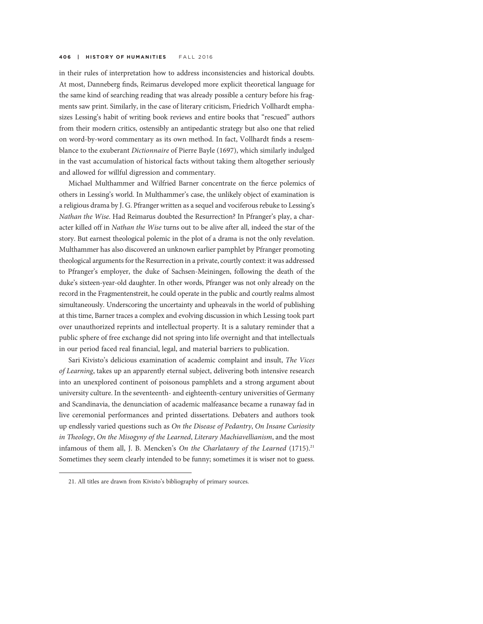in their rules of interpretation how to address inconsistencies and historical doubts. At most, Danneberg finds, Reimarus developed more explicit theoretical language for the same kind of searching reading that was already possible a century before his fragments saw print. Similarly, in the case of literary criticism, Friedrich Vollhardt emphasizes Lessing's habit of writing book reviews and entire books that "rescued" authors from their modern critics, ostensibly an antipedantic strategy but also one that relied on word-by-word commentary as its own method. In fact, Vollhardt finds a resemblance to the exuberant Dictionnaire of Pierre Bayle (1697), which similarly indulged in the vast accumulation of historical facts without taking them altogether seriously and allowed for willful digression and commentary.

Michael Multhammer and Wilfried Barner concentrate on the fierce polemics of others in Lessing's world. In Multhammer's case, the unlikely object of examination is a religious drama by J. G. Pfranger written as a sequel and vociferous rebuke to Lessing's Nathan the Wise. Had Reimarus doubted the Resurrection? In Pfranger's play, a character killed off in Nathan the Wise turns out to be alive after all, indeed the star of the story. But earnest theological polemic in the plot of a drama is not the only revelation. Multhammer has also discovered an unknown earlier pamphlet by Pfranger promoting theological arguments for the Resurrection in a private, courtly context: it was addressed to Pfranger's employer, the duke of Sachsen-Meiningen, following the death of the duke's sixteen-year-old daughter. In other words, Pfranger was not only already on the record in the Fragmentenstreit, he could operate in the public and courtly realms almost simultaneously. Underscoring the uncertainty and upheavals in the world of publishing at this time, Barner traces a complex and evolving discussion in which Lessing took part over unauthorized reprints and intellectual property. It is a salutary reminder that a public sphere of free exchange did not spring into life overnight and that intellectuals in our period faced real financial, legal, and material barriers to publication.

Sari Kivisto's delicious examination of academic complaint and insult, The Vices of Learning, takes up an apparently eternal subject, delivering both intensive research into an unexplored continent of poisonous pamphlets and a strong argument about university culture. In the seventeenth- and eighteenth-century universities of Germany and Scandinavia, the denunciation of academic malfeasance became a runaway fad in live ceremonial performances and printed dissertations. Debaters and authors took up endlessly varied questions such as On the Disease of Pedantry, On Insane Curiosity in Theology, On the Misogyny of the Learned, Literary Machiavellianism, and the most infamous of them all, J. B. Mencken's On the Charlatanry of the Learned  $(1715)^{21}$ Sometimes they seem clearly intended to be funny; sometimes it is wiser not to guess.

<sup>21.</sup> All titles are drawn from Kivisto's bibliography of primary sources.